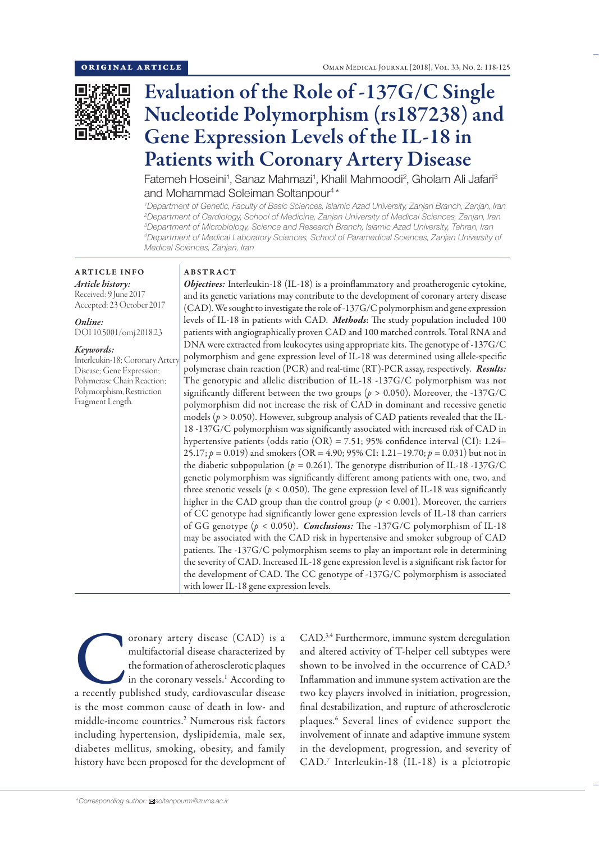

# Evaluation of the Role of -137G/C Single Nucleotide Polymorphism (rs187238) and Gene Expression Levels of the IL-18 in Patients with Coronary Artery Disease

Fatemeh Hoseini<sup>1</sup>, Sanaz Mahmazi<sup>1</sup>, Khalil Mahmoodi<sup>2</sup>, Gholam Ali Jafari<sup>3</sup> and Mohammad Soleiman Soltanpour<sup>4\*</sup>

 *Department of Genetic, Faculty of Basic Sciences, Islamic Azad University, Zanjan Branch, Zanjan, Iran Department of Cardiology, School of Medicine, Zanjan University of Medical Sciences, Zanjan, Iran Department of Microbiology, Science and Research Branch, Islamic Azad University, Tehran, Iran Department of Medical Laboratory Sciences, School of Paramedical Sciences, Zanjan University of Medical Sciences, Zanjan, Iran*

# ARTICLE INFO *Article history:*

Received: 9 June 2017 Accepted: 23 October 2017

*Online:* DOI 10.5001/omj.2018.23

#### *Keywords:*

Interleukin-18; Coronary Arter Disease; Gene Expression; Polymerase Chain Reaction; Polymorphism, Restriction Fragment Length.

# ABSTRACT

*Objectives:* Interleukin-18 (IL-18) is a proinflammatory and proatherogenic cytokine, and its genetic variations may contribute to the development of coronary artery disease (CAD). We sought to investigate the role of -137G/C polymorphism and gene expression levels of IL-18 in patients with CAD. *Methods*: The study population included 100 patients with angiographically proven CAD and 100 matched controls. Total RNA and DNA were extracted from leukocytes using appropriate kits. The genotype of -137G/C polymorphism and gene expression level of IL-18 was determined using allele-specific polymerase chain reaction (PCR) and real-time (RT)-PCR assay, respectively. *Results:* The genotypic and allelic distribution of IL-18 -137G/C polymorphism was not significantly different between the two groups ( $p > 0.050$ ). Moreover, the -137G/C polymorphism did not increase the risk of CAD in dominant and recessive genetic models (*p* > 0.050). However, subgroup analysis of CAD patients revealed that the IL-18 -137G/C polymorphism was significantly associated with increased risk of CAD in hypertensive patients (odds ratio (OR) = 7.51; 95% confidence interval (CI): 1.24– 25.17; *p =* 0.019) and smokers (OR = 4.90; 95% CI: 1.21–19.70; *p =* 0.031) but not in the diabetic subpopulation ( $p = 0.261$ ). The genotype distribution of IL-18-137G/C genetic polymorphism was significantly different among patients with one, two, and three stenotic vessels ( $p < 0.050$ ). The gene expression level of IL-18 was significantly higher in the CAD group than the control group ( $p < 0.001$ ). Moreover, the carriers of CC genotype had significantly lower gene expression levels of IL-18 than carriers of GG genotype (*p* < 0.050). *Conclusions:* The -137G/C polymorphism of IL-18 may be associated with the CAD risk in hypertensive and smoker subgroup of CAD patients. The -137G/C polymorphism seems to play an important role in determining the severity of CAD. Increased IL-18 gene expression level is a significant risk factor for the development of CAD. The CC genotype of -137G/C polymorphism is associated with lower IL-18 gene expression levels.

oronary artery disease (CAD) is a multifactorial disease characterized by the formation of atherosclerotic plaques in the coronary vessels.<sup>1</sup> According to a recently published study, cardiovascular disease multifactorial disease characterized by the formation of atherosclerotic plaques in the coronary vessels.<sup>1</sup> According to is the most common cause of death in low- and middle-income countries.2 Numerous risk factors including hypertension, dyslipidemia, male sex, diabetes mellitus, smoking, obesity, and family history have been proposed for the development of

CAD.<sup>3,4</sup> Furthermore, immune system deregulation and altered activity of T-helper cell subtypes were shown to be involved in the occurrence of CAD. 5 Inflammation and immune system activation are the two key players involved in initiation, progression, final destabilization, and rupture of atherosclerotic plaques.6 Several lines of evidence support the involvement of innate and adaptive immune system in the development, progression, and severity of CAD. 7 Interleukin-18 (IL-18) is a pleiotropic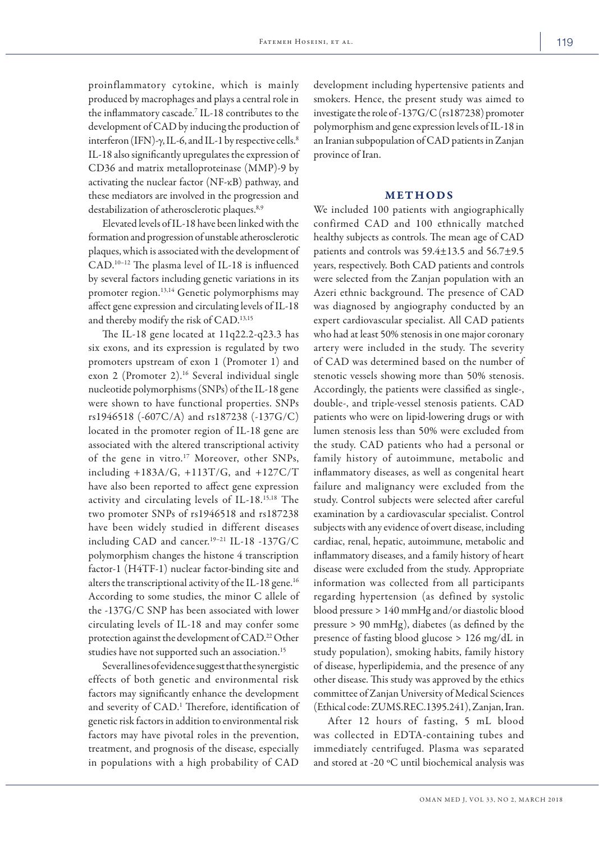proinflammatory cytokine, which is mainly produced by macrophages and plays a central role in the inflammatory cascade.7 IL-18 contributes to the development of CAD by inducing the production of interferon (IFN)- $\gamma$ , IL-6, and IL-1 by respective cells.<sup>8</sup> IL-18 also significantly upregulates the expression of CD36 and matrix metalloproteinase (MMP)-9 by activating the nuclear factor (NF-κB) pathway, and these mediators are involved in the progression and destabilization of atherosclerotic plaques.<sup>8,9</sup>

Elevated levels of IL-18 have been linked with the formation and progression of unstable atherosclerotic plaques, which is associated with the development of CAD. 10–12 The plasma level of IL-18 is influenced by several factors including genetic variations in its promoter region.<sup>13,14</sup> Genetic polymorphisms may affect gene expression and circulating levels of IL-18 and thereby modify the risk of CAD. 13,15

The IL-18 gene located at 11q22.2-q23.3 has six exons, and its expression is regulated by two promoters upstream of exon 1 (Promoter 1) and exon 2 (Promoter 2).<sup>16</sup> Several individual single nucleotide polymorphisms (SNPs) of the IL-18 gene were shown to have functional properties. SNPs rs1946518 (-607C/A) and rs187238 (-137G/C) located in the promoter region of IL-18 gene are associated with the altered transcriptional activity of the gene in vitro.<sup>17</sup> Moreover, other SNPs, including +183A/G, +113T/G, and +127C/T have also been reported to affect gene expression activity and circulating levels of IL-18.15,18 The two promoter SNPs of rs1946518 and rs187238 have been widely studied in different diseases including CAD and cancer.19–21 IL-18 -137G/C polymorphism changes the histone 4 transcription factor-1 (H4TF-1) nuclear factor-binding site and alters the transcriptional activity of the IL-18 gene.<sup>16</sup> According to some studies, the minor C allele of the -137G/C SNP has been associated with lower circulating levels of IL-18 and may confer some protection against the development of CAD. 22 Other studies have not supported such an association.<sup>15</sup>

Several lines of evidence suggest that the synergistic effects of both genetic and environmental risk factors may significantly enhance the development and severity of CAD. 1 Therefore, identification of genetic risk factors in addition to environmental risk factors may have pivotal roles in the prevention, treatment, and prognosis of the disease, especially in populations with a high probability of CAD

development including hypertensive patients and smokers. Hence, the present study was aimed to investigate the role of -137G/C (rs187238) promoter polymorphism and gene expression levels of IL-18 in an Iranian subpopulation of CAD patients in Zanjan province of Iran.

#### METHODS

We included 100 patients with angiographically confirmed CAD and 100 ethnically matched healthy subjects as controls. The mean age of CAD patients and controls was 59.4±13.5 and 56.7±9.5 years, respectively. Both CAD patients and controls were selected from the Zanjan population with an Azeri ethnic background. The presence of CAD was diagnosed by angiography conducted by an expert cardiovascular specialist. All CAD patients who had at least 50% stenosis in one major coronary artery were included in the study. The severity of CAD was determined based on the number of stenotic vessels showing more than 50% stenosis. Accordingly, the patients were classified as single-, double-, and triple-vessel stenosis patients. CAD patients who were on lipid-lowering drugs or with lumen stenosis less than 50% were excluded from the study. CAD patients who had a personal or family history of autoimmune, metabolic and inflammatory diseases, as well as congenital heart failure and malignancy were excluded from the study. Control subjects were selected after careful examination by a cardiovascular specialist. Control subjects with any evidence of overt disease, including cardiac, renal, hepatic, autoimmune, metabolic and inflammatory diseases, and a family history of heart disease were excluded from the study. Appropriate information was collected from all participants regarding hypertension (as defined by systolic blood pressure > 140 mmHg and/or diastolic blood pressure > 90 mmHg), diabetes (as defined by the presence of fasting blood glucose > 126 mg/dL in study population), smoking habits, family history of disease, hyperlipidemia, and the presence of any other disease. This study was approved by the ethics committee of Zanjan University of Medical Sciences (Ethical code: ZUMS.REC.1395.241), Zanjan, Iran.

After 12 hours of fasting, 5 mL blood was collected in EDTA-containing tubes and immediately centrifuged. Plasma was separated and stored at -20 ºC until biochemical analysis was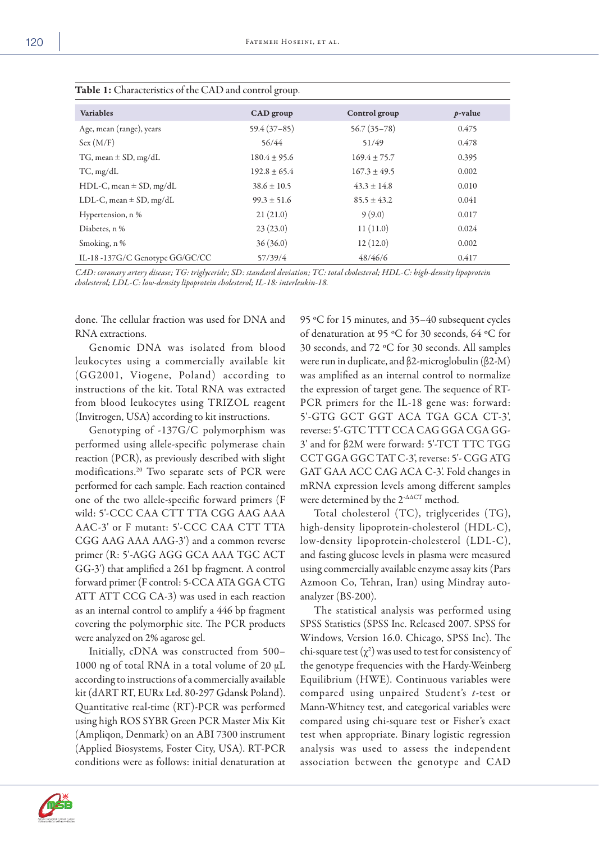| $\overline{1}$ and $\overline{2}$ . Ontained the order of the $\overline{1}$ and control group. |                  |                  |            |  |  |  |
|-------------------------------------------------------------------------------------------------|------------------|------------------|------------|--|--|--|
| <b>Variables</b>                                                                                | CAD group        | Control group    | $p$ -value |  |  |  |
| Age, mean (range), years                                                                        | $59.4(37-85)$    | $56.7(35-78)$    | 0.475      |  |  |  |
| Sex (M/F)                                                                                       | 56/44            | 51/49            | 0.478      |  |  |  |
| TG, mean $\pm$ SD, mg/dL                                                                        | $180.4 \pm 95.6$ | $169.4 \pm 75.7$ | 0.395      |  |  |  |
| $TC$ , mg/dL                                                                                    | $192.8 \pm 65.4$ | $167.3 \pm 49.5$ | 0.002      |  |  |  |
| $HDL-C$ , mean $\pm$ SD, mg/dL                                                                  | $38.6 \pm 10.5$  | $43.3 \pm 14.8$  | 0.010      |  |  |  |
| LDL-C, mean $\pm$ SD, mg/dL                                                                     | $99.3 \pm 51.6$  | $85.5 \pm 43.2$  | 0.041      |  |  |  |
| Hypertension, n %                                                                               | 21(21.0)         | 9(9.0)           | 0.017      |  |  |  |
| Diabetes, n %                                                                                   | 23(23.0)         | 11(11.0)         | 0.024      |  |  |  |
| Smoking, n%                                                                                     | 36(36.0)         | 12(12.0)         | 0.002      |  |  |  |
| IL-18-137G/C Genotype GG/GC/CC                                                                  | 57/39/4          | 48/46/6          | 0.417      |  |  |  |

| Table 1: Characteristics of the CAD and control group. |  |
|--------------------------------------------------------|--|
|--------------------------------------------------------|--|

*CAD: coronary artery disease; TG: triglyceride; SD: standard deviation; TC: total cholesterol; HDL-C: high-density lipoprotein cholesterol; LDL-C: low-density lipoprotein cholesterol; IL-18: interleukin-18.*

done. The cellular fraction was used for DNA and RNA extractions.

Genomic DNA was isolated from blood leukocytes using a commercially available kit (GG2001, Viogene, Poland) according to instructions of the kit. Total RNA was extracted from blood leukocytes using TRIZOL reagent (Invitrogen, USA) according to kit instructions.

Genotyping of -137G/C polymorphism was performed using allele-specific polymerase chain reaction (PCR), as previously described with slight modifications.20 Two separate sets of PCR were performed for each sample. Each reaction contained one of the two allele-specific forward primers (F wild: 5'-CCC CAA CTT TTA CGG AAG AAA AAC-3' or F mutant: 5'-CCC CAA CTT TTA CGG AAG AAA AAG-3') and a common reverse primer (R: 5'-AGG AGG GCA AAA TGC ACT GG-3') that amplified a 261 bp fragment. A control forward primer (F control: 5-CCA ATA GGA CTG ATT ATT CCG CA-3) was used in each reaction as an internal control to amplify a 446 bp fragment covering the polymorphic site. The PCR products were analyzed on 2% agarose gel.

Initially, cDNA was constructed from 500– 1000 ng of total RNA in a total volume of 20 μL according to instructions of a commercially available kit (dART RT, EURx Ltd. 80-297 Gdansk Poland). Quantitative real-time (RT)-PCR was performed using high ROS SYBR Green PCR Master Mix Kit (Ampliqon, Denmark) on an ABI 7300 instrument (Applied Biosystems, Foster City, USA). RT-PCR conditions were as follows: initial denaturation at

95 ºC for 15 minutes, and 35–40 subsequent cycles of denaturation at 95 ºC for 30 seconds, 64 ºC for 30 seconds, and 72 ºC for 30 seconds. All samples were run in duplicate, and β2-microglobulin (β2-M) was amplified as an internal control to normalize the expression of target gene. The sequence of RT-PCR primers for the IL-18 gene was: forward: 5'-GTG GCT GGT ACA TGA GCA CT-3', reverse: 5'-GTC TTT CCA CAG GGA CGA GG-3' and for β2M were forward: 5'-TCT TTC TGG CCT GGA GGC TAT C-3', reverse: 5'- CGG ATG GAT GAA ACC CAG ACA C-3'. Fold changes in mRNA expression levels among different samples were determined by the  $2^{\text{-}\Delta\Delta{\text{CT}}}$  method.

Total cholesterol (TC), triglycerides (TG), high-density lipoprotein-cholesterol (HDL-C), low-density lipoprotein-cholesterol (LDL-C), and fasting glucose levels in plasma were measured using commercially available enzyme assay kits (Pars Azmoon Co, Tehran, Iran) using Mindray autoanalyzer (BS-200).

The statistical analysis was performed using SPSS Statistics (SPSS Inc. Released 2007. SPSS for Windows, Version 16.0. Chicago, SPSS Inc). The chi-square test  $(\chi^2)$  was used to test for consistency of the genotype frequencies with the Hardy-Weinberg Equilibrium (HWE). Continuous variables were compared using unpaired Student's *t*-test or Mann-Whitney test, and categorical variables were compared using chi-square test or Fisher's exact test when appropriate. Binary logistic regression analysis was used to assess the independent association between the genotype and CAD

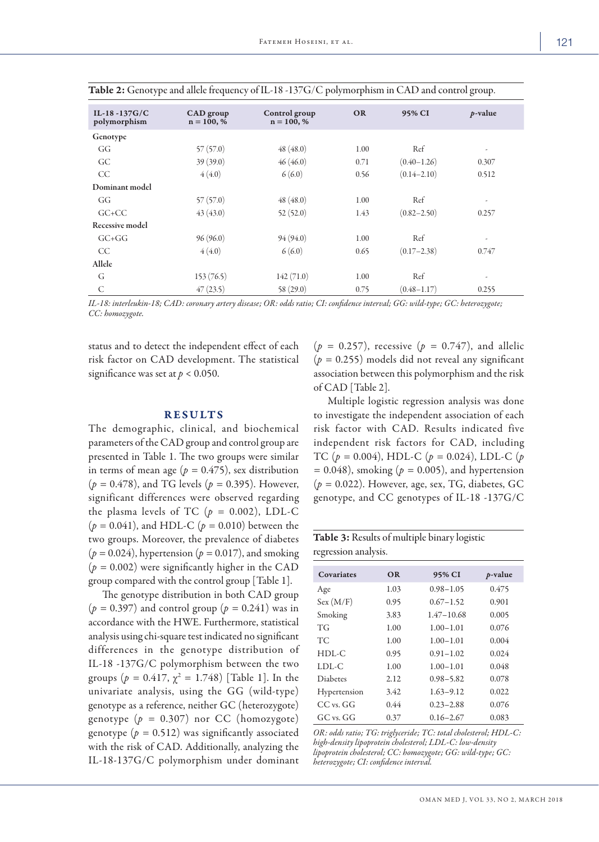| IL-18-137 $G/C$<br>polymorphism | CAD group<br>$n = 100, %$ | Control group<br>$n = 100, %$ | <b>OR</b> | 95% CI          | $p$ -value               |
|---------------------------------|---------------------------|-------------------------------|-----------|-----------------|--------------------------|
| Genotype                        |                           |                               |           |                 |                          |
| GG                              | 57(57.0)                  | 48(48.0)                      | 1.00      | Ref             | $\overline{\phantom{a}}$ |
| GC                              | 39(39.0)                  | 46(46.0)                      | 0.71      | $(0.40 - 1.26)$ | 0.307                    |
| CC                              | 4(4.0)                    | 6(6.0)                        | 0.56      | $(0.14 - 2.10)$ | 0.512                    |
| Dominant model                  |                           |                               |           |                 |                          |
| GG                              | 57(57.0)                  | 48(48.0)                      | 1.00      | Ref             | $\overline{\phantom{a}}$ |
| $GC + CC$                       | 43(43.0)                  | 52(52.0)                      | 1.43      | $(0.82 - 2.50)$ | 0.257                    |
| Recessive model                 |                           |                               |           |                 |                          |
| $G C + G G$                     | 96(96.0)                  | 94(94.0)                      | 1.00      | Ref             | $\overline{\phantom{a}}$ |
| <b>CC</b>                       | 4(4.0)                    | 6(6.0)                        | 0.65      | $(0.17 - 2.38)$ | 0.747                    |
| Allele                          |                           |                               |           |                 |                          |
| G                               | 153(76.5)                 | 142(71.0)                     | 1.00      | Ref             | $\overline{\phantom{a}}$ |
| $\mathsf{C}$                    | 47(23.5)                  | 58(29.0)                      | 0.75      | $(0.48 - 1.17)$ | 0.255                    |

| Table 2: Genotype and allele frequency of IL-18-137G/C polymorphism in CAD and control group. |  |  |  |
|-----------------------------------------------------------------------------------------------|--|--|--|
|-----------------------------------------------------------------------------------------------|--|--|--|

*IL-18: interleukin-18; CAD: coronary artery disease; OR: odds ratio; CI: confidence interval; GG: wild-type; GC: heterozygote; CC: homozygote.*

status and to detect the independent effect of each risk factor on CAD development. The statistical significance was set at  $p < 0.050$ .

## RESULTS

The demographic, clinical, and biochemical parameters of the CAD group and control group are presented in Table 1. The two groups were similar in terms of mean age ( $p = 0.475$ ), sex distribution (*p =* 0.478), and TG levels (*p =* 0.395). However, significant differences were observed regarding the plasma levels of TC  $(p = 0.002)$ , LDL-C  $(p = 0.041)$ , and HDL-C  $(p = 0.010)$  between the two groups. Moreover, the prevalence of diabetes  $(p = 0.024)$ , hypertension  $(p = 0.017)$ , and smoking  $(p = 0.002)$  were significantly higher in the CAD group compared with the control group [Table 1].

The genotype distribution in both CAD group (*p =* 0.397) and control group (*p =* 0.241) was in accordance with the HWE. Furthermore, statistical analysis using chi-square test indicated no significant differences in the genotype distribution of IL-18 -137G/C polymorphism between the two groups  $(p = 0.417, \chi^2 = 1.748)$  [Table 1]. In the univariate analysis, using the GG (wild-type) genotype as a reference, neither GC (heterozygote) genotype  $(p = 0.307)$  nor CC (homozygote) genotype  $(p = 0.512)$  was significantly associated with the risk of CAD. Additionally, analyzing the IL-18-137G/C polymorphism under dominant

(*p =* 0.257), recessive (*p =* 0.747), and allelic (*p =* 0.255) models did not reveal any significant association between this polymorphism and the risk of CAD [Table 2].

Multiple logistic regression analysis was done to investigate the independent association of each risk factor with CAD. Results indicated five independent risk factors for CAD, including TC (*p =* 0.004), HDL-C (*p =* 0.024), LDL-C (*p =* 0.048), smoking (*p =* 0.005), and hypertension (*p =* 0.022). However, age, sex, TG, diabetes, GC genotype, and CC genotypes of IL-18 -137G/C

|                      | Table 3: Results of multiple binary logistic |
|----------------------|----------------------------------------------|
| regression analysis. |                                              |

| Covariates      | OR   | 95% CI         | $p$ -value |
|-----------------|------|----------------|------------|
| Age             | 1.03 | $0.98 - 1.05$  | 0.475      |
| Sex(M/F)        | 0.95 | $0.67 - 1.52$  | 0.901      |
| Smoking         | 3.83 | $1.47 - 10.68$ | 0.005      |
| TG              | 1.00 | $1.00 - 1.01$  | 0.076      |
| <b>TC</b>       | 1.00 | $1.00 - 1.01$  | 0.004      |
| $HDL-C$         | 0.95 | $0.91 - 1.02$  | 0.024      |
| $LDL-C$         | 1.00 | $1.00 - 1.01$  | 0.048      |
| <b>Diabetes</b> | 2.12 | $0.98 - 5.82$  | 0.078      |
| Hypertension    | 3.42 | $1.63 - 9.12$  | 0.022      |
| $CC$ vs. $GG$   | 0.44 | $0.23 - 2.88$  | 0.076      |
| $GC$ vs. $GG$   | 0.37 | $0.16 - 2.67$  | 0.083      |

*OR: odds ratio; TG: triglyceride; TC: total cholesterol; HDL-C: high-density lipoprotein cholesterol; LDL-C: low-density lipoprotein cholesterol; CC: homozygote; GG: wild-type; GC: heterozygote; CI: confidence interval.*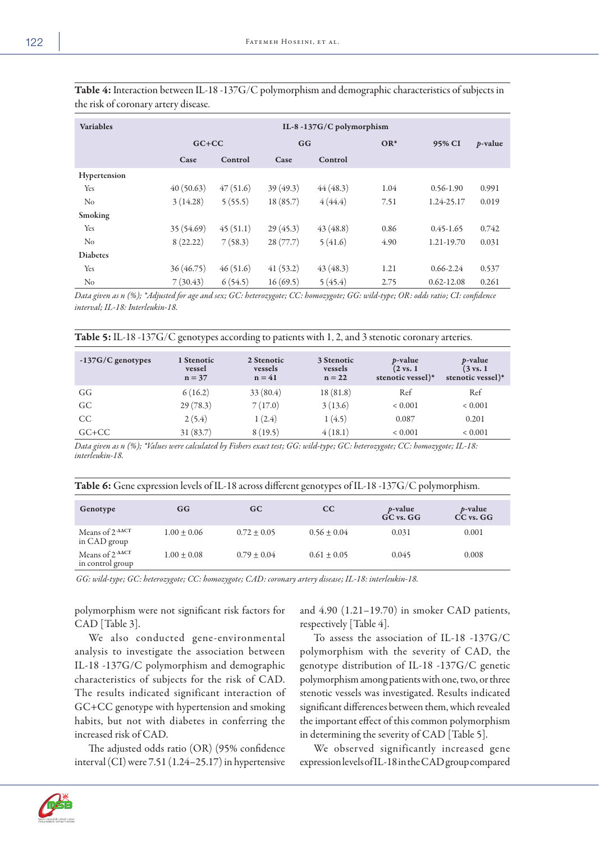| <b>Variables</b> | IL-8-137 $G/C$ polymorphism |          |          |          |      |                |            |
|------------------|-----------------------------|----------|----------|----------|------|----------------|------------|
|                  | $GC+CC$                     |          | GG       | $OR^*$   |      | 95% CI         | $p$ -value |
|                  | Case                        | Control  | Case     | Control  |      |                |            |
| Hypertension     |                             |          |          |          |      |                |            |
| Yes              | 40(50.63)                   | 47(51.6) | 39(49.3) | 44(48.3) | 1.04 | $0.56 - 1.90$  | 0.991      |
| No               | 3(14.28)                    | 5(55.5)  | 18(85.7) | 4(44.4)  | 7.51 | 1.24-25.17     | 0.019      |
| Smoking          |                             |          |          |          |      |                |            |
| Yes              | 35 (54.69)                  | 45(51.1) | 29(45.3) | 43(48.8) | 0.86 | $0.45 - 1.65$  | 0.742      |
| No               | 8(22.22)                    | 7(58.3)  | 28(77.7) | 5(41.6)  | 4.90 | 1.21-19.70     | 0.031      |
| <b>Diabetes</b>  |                             |          |          |          |      |                |            |
| Yes              | 36(46.75)                   | 46(51.6) | 41(53.2) | 43(48.3) | 1.21 | $0.66 - 2.24$  | 0.537      |
| No               | 7(30.43)                    | 6(54.5)  | 16(69.5) | 5(45.4)  | 2.75 | $0.62 - 12.08$ | 0.261      |

Table 4: Interaction between IL-18 -137G/C polymorphism and demographic characteristics of subjects in the risk of coronary artery disease.

*Data given as n (%); \*Adjusted for age and sex; GC: heterozygote; CC: homozygote; GG: wild-type; OR: odds ratio; CI: confidence interval; IL-18: Interleukin-18.*

|  |  |  |  |  |  |  |  | <b>Table 5:</b> IL-18 -137G/C genotypes according to patients with 1, 2, and 3 stenotic coronary arteries. |
|--|--|--|--|--|--|--|--|------------------------------------------------------------------------------------------------------------|
|--|--|--|--|--|--|--|--|------------------------------------------------------------------------------------------------------------|

| $-137G/C$ genotypes | 1 Stenotic<br>vessel<br>$n = 37$ | 2 Stenotic<br>vessels<br>$n = 41$ | 3 Stenotic<br>vessels<br>$n = 22$ | <i>p</i> -value<br>$(2 \text{ vs. } 1)$<br>stenotic vessel)* | <i>p</i> -value<br>$(3 \text{ vs. } 1)$<br>stenotic vessel)* |
|---------------------|----------------------------------|-----------------------------------|-----------------------------------|--------------------------------------------------------------|--------------------------------------------------------------|
| GG                  | 6(16.2)                          | 33(80.4)                          | 18(81.8)                          | Ref                                                          | Ref                                                          |
| GC                  | 29(78.3)                         | 7(17.0)                           | 3(13.6)                           | ${}< 0.001$                                                  | ${}< 0.001$                                                  |
| <sub>CC</sub>       | 2(5.4)                           | 1(2.4)                            | 1(4.5)                            | 0.087                                                        | 0.201                                                        |
| $G$ C+CC            | 31(83.7)                         | 8(19.5)                           | 4(18.1)                           | < 0.001                                                      | ${}< 0.001$                                                  |

*Data given as n (%); \*Values were calculated by Fishers exact test; GG: wild-type; GC: heterozygote; CC: homozygote; IL-18: interleukin-18.*

| Genotype                                                  | GG              | GC.             | cc              | $p$ -value<br>GC vs. GG | $p$ -value<br>$CC$ vs. $GG$ |
|-----------------------------------------------------------|-----------------|-----------------|-----------------|-------------------------|-----------------------------|
| Means of $2$ - $\triangle$ $\triangle$ CT<br>in CAD group | $1.00 \pm 0.06$ | $0.72 \pm 0.05$ | $0.56 \pm 0.04$ | 0.031                   | 0.001                       |
| Means of $2$ - $\triangle$ ACT<br>in control group        | $1.00 \pm 0.08$ | $0.79 \pm 0.04$ | $0.61 \pm 0.05$ | 0.045                   | 0.008                       |

*GG: wild-type; GC: heterozygote; CC: homozygote; CAD: coronary artery disease; IL-18: interleukin-18.*

polymorphism were not significant risk factors for CAD [Table 3].

We also conducted gene-environmental analysis to investigate the association between IL-18 -137G/C polymorphism and demographic characteristics of subjects for the risk of CAD. The results indicated significant interaction of GC+CC genotype with hypertension and smoking habits, but not with diabetes in conferring the increased risk of CAD.

The adjusted odds ratio (OR) (95% confidence interval (CI) were 7.51 (1.24–25.17) in hypertensive and 4.90 (1.21–19.70) in smoker CAD patients, respectively [Table 4].

To assess the association of IL-18 -137G/C polymorphism with the severity of CAD, the genotype distribution of IL-18 -137G/C genetic polymorphism among patients with one, two, or three stenotic vessels was investigated. Results indicated significant differences between them, which revealed the important effect of this common polymorphism in determining the severity of CAD [Table 5].

We observed significantly increased gene expression levels of IL-18 in the CAD group compared

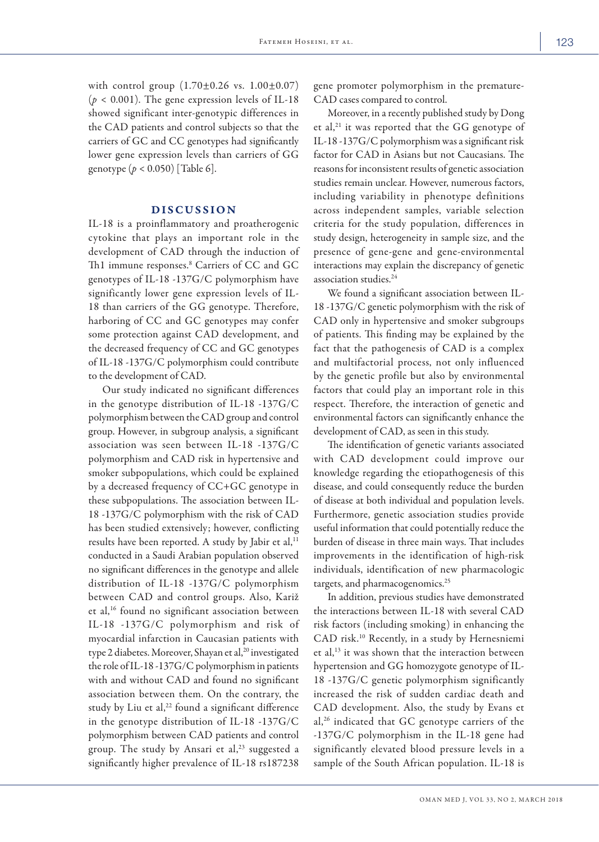with control group  $(1.70 \pm 0.26 \text{ vs. } 1.00 \pm 0.07)$  $(p < 0.001)$ . The gene expression levels of IL-18 showed significant inter-genotypic differences in the CAD patients and control subjects so that the carriers of GC and CC genotypes had significantly lower gene expression levels than carriers of GG genotype (*p* < 0.050) [Table 6].

## DISCUSSION

IL-18 is a proinflammatory and proatherogenic cytokine that plays an important role in the development of CAD through the induction of Th1 immune responses.<sup>8</sup> Carriers of CC and GC genotypes of IL-18 -137G/C polymorphism have significantly lower gene expression levels of IL-18 than carriers of the GG genotype. Therefore, harboring of CC and GC genotypes may confer some protection against CAD development, and the decreased frequency of CC and GC genotypes of IL-18 -137G/C polymorphism could contribute to the development of CAD.

Our study indicated no significant differences in the genotype distribution of IL-18 -137G/C polymorphism between the CAD group and control group. However, in subgroup analysis, a significant association was seen between IL-18 -137G/C polymorphism and CAD risk in hypertensive and smoker subpopulations, which could be explained by a decreased frequency of CC+GC genotype in these subpopulations. The association between IL-18 -137G/C polymorphism with the risk of CAD has been studied extensively; however, conflicting results have been reported. A study by Jabir et al,<sup>11</sup> conducted in a Saudi Arabian population observed no significant differences in the genotype and allele distribution of IL-18 -137G/C polymorphism between CAD and control groups. Also, Kariž et al,<sup>16</sup> found no significant association between IL-18 -137G/C polymorphism and risk of myocardial infarction in Caucasian patients with type 2 diabetes. Moreover, Shayan et al,<sup>20</sup> investigated the role of IL-18 -137G/C polymorphism in patients with and without CAD and found no significant association between them. On the contrary, the study by Liu et al, $22$  found a significant difference in the genotype distribution of IL-18 -137G/C polymorphism between CAD patients and control group. The study by Ansari et al, $23$  suggested a significantly higher prevalence of IL-18 rs187238

gene promoter polymorphism in the premature-CAD cases compared to control.

Moreover, in a recently published study by Dong et al,<sup>21</sup> it was reported that the GG genotype of IL-18 -137G/C polymorphism was a significant risk factor for CAD in Asians but not Caucasians. The reasons for inconsistent results of genetic association studies remain unclear. However, numerous factors, including variability in phenotype definitions across independent samples, variable selection criteria for the study population, differences in study design, heterogeneity in sample size, and the presence of gene-gene and gene-environmental interactions may explain the discrepancy of genetic association studies.<sup>24</sup>

We found a significant association between IL-18 -137G/C genetic polymorphism with the risk of CAD only in hypertensive and smoker subgroups of patients. This finding may be explained by the fact that the pathogenesis of CAD is a complex and multifactorial process, not only influenced by the genetic profile but also by environmental factors that could play an important role in this respect. Therefore, the interaction of genetic and environmental factors can significantly enhance the development of CAD, as seen in this study.

The identification of genetic variants associated with CAD development could improve our knowledge regarding the etiopathogenesis of this disease, and could consequently reduce the burden of disease at both individual and population levels. Furthermore, genetic association studies provide useful information that could potentially reduce the burden of disease in three main ways. That includes improvements in the identification of high-risk individuals, identification of new pharmacologic targets, and pharmacogenomics.<sup>25</sup>

In addition, previous studies have demonstrated the interactions between IL-18 with several CAD risk factors (including smoking) in enhancing the CAD risk.10 Recently, in a study by Hernesniemi et al,13 it was shown that the interaction between hypertension and GG homozygote genotype of IL-18 -137G/C genetic polymorphism significantly increased the risk of sudden cardiac death and CAD development. Also, the study by Evans et al,<sup>26</sup> indicated that GC genotype carriers of the -137G/C polymorphism in the IL-18 gene had significantly elevated blood pressure levels in a sample of the South African population. IL-18 is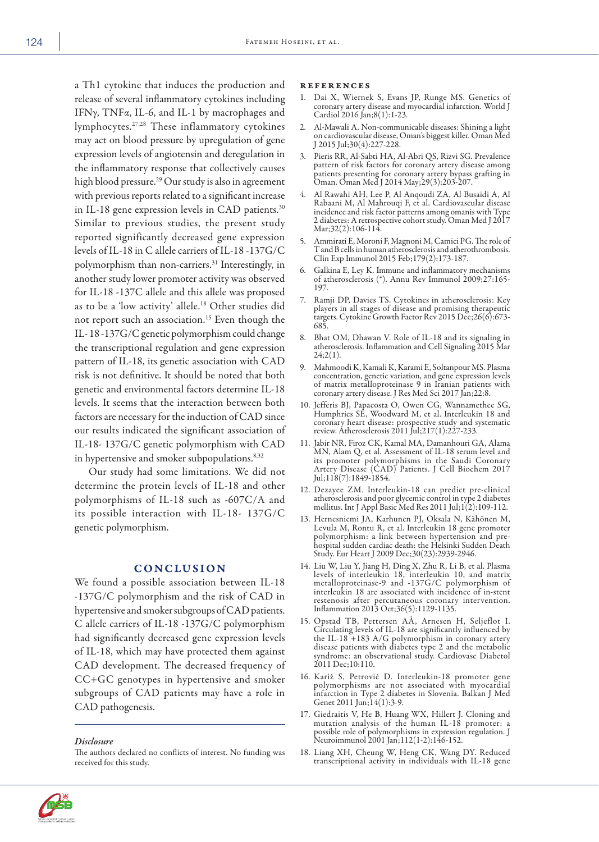a Th1 cytokine that induces the production and release of several inflammatory cytokines including IFNγ, TNFα, IL-6, and IL-1 by macrophages and lymphocytes.27,28 These inflammatory cytokines may act on blood pressure by upregulation of gene expression levels of angiotensin and deregulation in the inflammatory response that collectively causes high blood pressure.29 Our study is also in agreement with previous reports related to a significant increase in IL-18 gene expression levels in CAD patients.<sup>30</sup> Similar to previous studies, the present study reported significantly decreased gene expression levels of IL-18 in C allele carriers of IL-18 -137G/C polymorphism than non-carriers.<sup>31</sup> Interestingly, in another study lower promoter activity was observed for IL-18 -137C allele and this allele was proposed as to be a 'low activity' allele.18 Other studies did not report such an association.15 Even though the IL- 18 -137G/C genetic polymorphism could change the transcriptional regulation and gene expression pattern of IL-18, its genetic association with CAD risk is not definitive. It should be noted that both genetic and environmental factors determine IL-18 levels. It seems that the interaction between both factors are necessary for the induction of CAD since our results indicated the significant association of IL-18- 137G/C genetic polymorphism with CAD in hypertensive and smoker subpopulations.<sup>8,32</sup>

Our study had some limitations. We did not determine the protein levels of IL-18 and other polymorphisms of IL-18 such as -607C/A and its possible interaction with IL-18- 137G/C genetic polymorphism.

# **CONCLUSION**

We found a possible association between IL-18 -137G/C polymorphism and the risk of CAD in hypertensive and smoker subgroups of CAD patients. C allele carriers of IL-18 -137G/C polymorphism had significantly decreased gene expression levels of IL-18, which may have protected them against CAD development. The decreased frequency of CC+GC genotypes in hypertensive and smoker subgroups of CAD patients may have a role in CAD pathogenesis.

*Disclosure*

The authors declared no conflicts of interest. No funding was received for this study.

#### references

- 1. Dai X, Wiernek S, Evans JP, Runge MS. Genetics of coronary artery disease and myocardial infarction. World J Cardiol 2016 Jan;8(1):1-23.
- 2. Al-Mawali A. Non-communicable diseases: Shining a light on cardiovascular disease, Oman's biggest killer. Oman Med J 2015 Jul;30(4):227-228.
- 3. Pieris RR, Al-Sabti HA, Al-Abri QS, Rizvi SG. Prevalence pattern of risk factors for coronary artery disease among patients presenting for coronary artery bypass grafting in Oman. Oman Med J 2014 May;29(3):203-207.
- 4. Al Rawahi AH, Lee P, Al Anqoudi ZA, Al Busaidi A, Al Rabaani M, Al Mahrouqi F, et al. Cardiovascular disease incidence and risk factor patterns among omanis with Type 2 diabetes: A retrospective cohort study. Oman Med J 2017 Mar; 32(2): 106-114.
- 5. Ammirati E, Moroni F, Magnoni M, Camici PG. The role of T and B cells in human atherosclerosis and atherothrombosis. Clin Exp Immunol 2015 Feb;179(2):173-187.
- 6. Galkina E, Ley K. Immune and inflammatory mechanisms of atherosclerosis (\*). Annu Rev Immunol 2009;27:165- 197.
- 7. Ramji DP, Davies TS. Cytokines in atherosclerosis: Key players in all stages of disease and promising therapeutic targets. Cytokine Growth Factor Rev 2015 Dec;26(6):673- 685.
- 8. Bhat OM, Dhawan V. Role of IL-18 and its signaling in atherosclerosis. Inflammation and Cell Signaling 2015 Mar 24;2(1).
- 9. Mahmoodi K, Kamali K, Karami E, Soltanpour MS. Plasma concentration, genetic variation, and gene expression levels of matrix metalloproteinase 9 in Iranian patients with coronary artery disease. J Res Med Sci 2017 Jan;22:8.
- 10. Jefferis BJ, Papacosta O, Owen CG, Wannamethee SG, Humphries SE, Woodward M, et al. Interleukin 18 and coronary heart disease: prospective study and systematic review. Atherosclerosis 2011 Jul;217(1):227-233.
- 11. Jabir NR, Firoz CK, Kamal MA, Damanhouri GA, Alama MN, Alam Q, et al. Assessment of IL-18 serum level and its promoter polymorphisms in the Saudi Coronary Artery Disease (CAD) Patients. J Cell Biochem 2017 Jul;118(7):1849-1854.
- 12. Dezayee ZM. Interleukin-18 can predict pre-clinical atherosclerosis and poor glycemic control in type 2 diabetes mellitus. Int J Appl Basic Med Res 2011 Jul;1(2):109-112.
- 13. Hernesniemi JA, Karhunen PJ, Oksala N, Kähönen M, Levula M, Rontu R, et al. Interleukin 18 gene promoter polymorphism: a link between hypertension and prehospital sudden cardiac death: the Helsinki Sudden Death Study. Eur Heart J 2009 Dec;30(23):2939-2946.
- 14. Liu W, Liu Y, Jiang H, Ding X, Zhu R, Li B, et al. Plasma levels of interleukin 18, interleukin 10, and matrix metalloproteinase-9 and -137G/C polymorphism of interleukin 18 are associated with incidence of in-stent restenosis after percutaneous coronary intervention. Inflammation 2013 Oct;36(5):1129-1135.
- 15. Opstad TB, Pettersen AÅ, Arnesen H, Seljeflot I. the IL-18 +183 A/G polymorphism in coronary artery disease patients with diabetes type 2 and the metabolic syndrome: an observational study. Cardiovasc Diabetol 2011 Dec;10:110.
- 16. Kariž S, Petrovič D. Interleukin-18 promoter gene polymorphisms are not associated with myocardial infarction in Type 2 diabetes in Slovenia. Balkan J Med Genet 2011 Jun;14(1):3-9.
- 17. Giedraitis V, He B, Huang WX, Hillert J. Cloning and mutation analysis of the human IL-18 promoter: a possible role of polymorphisms in expression regulation. J Neuroimmunol 2001 Jan; 112(1-2): 146-152.
- 18. Liang XH, Cheung W, Heng CK, Wang DY. Reduced transcriptional activity in individuals with IL-18 gene